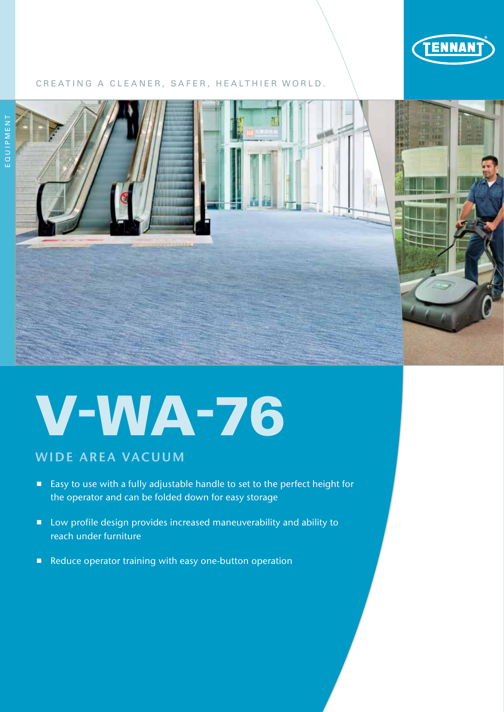

# CREATING A CLEANER, SAFER, HEALTHIER WORLD.



# V-WA-76

# WIDE AREA VACUUM

- Easy to use with a fully adjustable handle to set to the perfect height for the operator and can be folded down for easy storage
- **E** Low profile design provides increased maneuverability and ability to reach under furniture
- Reduce operator training with easy one-button operation